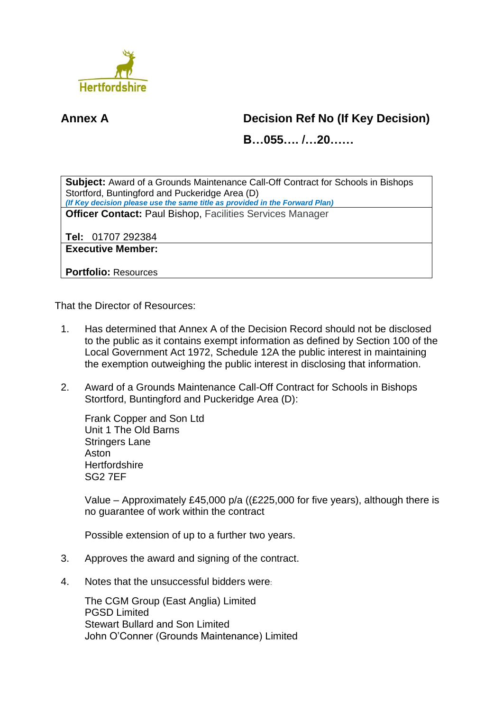

## **Annex A Decision Ref No (If Key Decision)**

**B…055…. /…20……**

**Subject:** Award of a Grounds Maintenance Call-Off Contract for Schools in Bishops Stortford, Buntingford and Puckeridge Area (D) *(If Key decision please use the same title as provided in the Forward Plan)* **Officer Contact:** Paul Bishop, Facilities Services Manager

**Tel:** 01707 292384

**Executive Member:**

**Portfolio:** Resources

That the Director of Resources:

- 1. Has determined that Annex A of the Decision Record should not be disclosed to the public as it contains exempt information as defined by Section 100 of the Local Government Act 1972, Schedule 12A the public interest in maintaining the exemption outweighing the public interest in disclosing that information.
- 2. Award of a Grounds Maintenance Call-Off Contract for Schools in Bishops Stortford, Buntingford and Puckeridge Area (D):

Frank Copper and Son Ltd Unit 1 The Old Barns Stringers Lane Aston **Hertfordshire** SG2 7EF

Value – Approximately £45,000 p/a ((£225,000 for five years), although there is no guarantee of work within the contract

Possible extension of up to a further two years.

- 3. Approves the award and signing of the contract.
- 4. Notes that the unsuccessful bidders were:

The CGM Group (East Anglia) Limited PGSD Limited Stewart Bullard and Son Limited John O'Conner (Grounds Maintenance) Limited